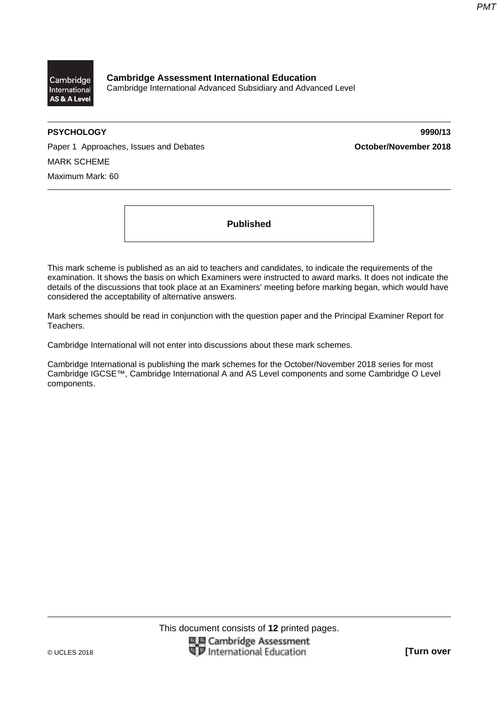

**Cambridge Assessment International Education**  Cambridge International Advanced Subsidiary and Advanced Level

**PSYCHOLOGY 9990/13** 

Paper 1 Approaches, Issues and Debates **Constrainer 2018 October/November 2018** MARK SCHEME Maximum Mark: 60

**Published** 

This mark scheme is published as an aid to teachers and candidates, to indicate the requirements of the examination. It shows the basis on which Examiners were instructed to award marks. It does not indicate the details of the discussions that took place at an Examiners' meeting before marking began, which would have considered the acceptability of alternative answers.

Mark schemes should be read in conjunction with the question paper and the Principal Examiner Report for Teachers.

Cambridge International will not enter into discussions about these mark schemes.

Cambridge International is publishing the mark schemes for the October/November 2018 series for most Cambridge IGCSE™, Cambridge International A and AS Level components and some Cambridge O Level components.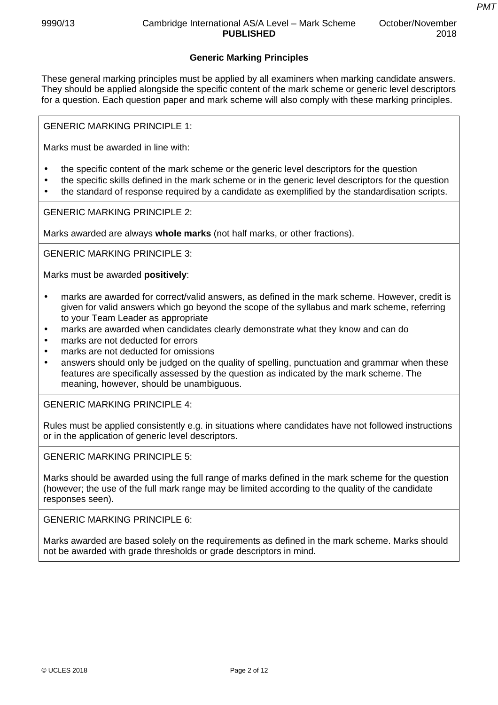# **Generic Marking Principles**

These general marking principles must be applied by all examiners when marking candidate answers. They should be applied alongside the specific content of the mark scheme or generic level descriptors for a question. Each question paper and mark scheme will also comply with these marking principles.

GENERIC MARKING PRINCIPLE 1:

Marks must be awarded in line with:

- the specific content of the mark scheme or the generic level descriptors for the question
- the specific skills defined in the mark scheme or in the generic level descriptors for the question
- the standard of response required by a candidate as exemplified by the standardisation scripts.

GENERIC MARKING PRINCIPLE 2:

Marks awarded are always **whole marks** (not half marks, or other fractions).

GENERIC MARKING PRINCIPLE 3:

Marks must be awarded **positively**:

- marks are awarded for correct/valid answers, as defined in the mark scheme. However, credit is given for valid answers which go beyond the scope of the syllabus and mark scheme, referring to your Team Leader as appropriate
- marks are awarded when candidates clearly demonstrate what they know and can do
- marks are not deducted for errors
- marks are not deducted for omissions
- answers should only be judged on the quality of spelling, punctuation and grammar when these features are specifically assessed by the question as indicated by the mark scheme. The meaning, however, should be unambiguous.

GENERIC MARKING PRINCIPLE 4:

Rules must be applied consistently e.g. in situations where candidates have not followed instructions or in the application of generic level descriptors.

GENERIC MARKING PRINCIPLE 5:

Marks should be awarded using the full range of marks defined in the mark scheme for the question (however; the use of the full mark range may be limited according to the quality of the candidate responses seen).

GENERIC MARKING PRINCIPLE 6:

Marks awarded are based solely on the requirements as defined in the mark scheme. Marks should not be awarded with grade thresholds or grade descriptors in mind.

*PMT*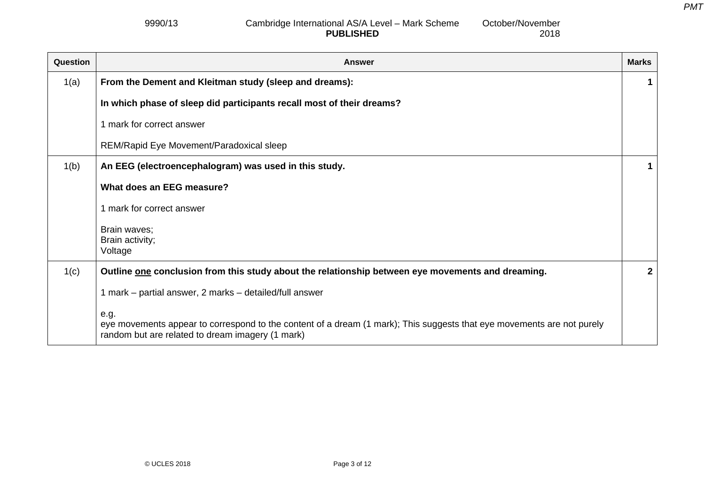2018

### 9990/13 Cambridge International AS/A Level – Mark Scheme **PUBLISHED** October/November

| Question | <b>Answer</b>                                                                                                                                                                      | <b>Marks</b> |
|----------|------------------------------------------------------------------------------------------------------------------------------------------------------------------------------------|--------------|
| 1(a)     | From the Dement and Kleitman study (sleep and dreams):                                                                                                                             | 1            |
|          | In which phase of sleep did participants recall most of their dreams?                                                                                                              |              |
|          | 1 mark for correct answer                                                                                                                                                          |              |
|          | REM/Rapid Eye Movement/Paradoxical sleep                                                                                                                                           |              |
| 1(b)     | An EEG (electroencephalogram) was used in this study.                                                                                                                              | 1            |
|          | What does an EEG measure?                                                                                                                                                          |              |
|          | 1 mark for correct answer                                                                                                                                                          |              |
|          | Brain waves;                                                                                                                                                                       |              |
|          | Brain activity;<br>Voltage                                                                                                                                                         |              |
| 1(c)     | Outline one conclusion from this study about the relationship between eye movements and dreaming.                                                                                  | $\mathbf{2}$ |
|          | 1 mark – partial answer, 2 marks – detailed/full answer                                                                                                                            |              |
|          | e.g.<br>eye movements appear to correspond to the content of a dream (1 mark); This suggests that eye movements are not purely<br>random but are related to dream imagery (1 mark) |              |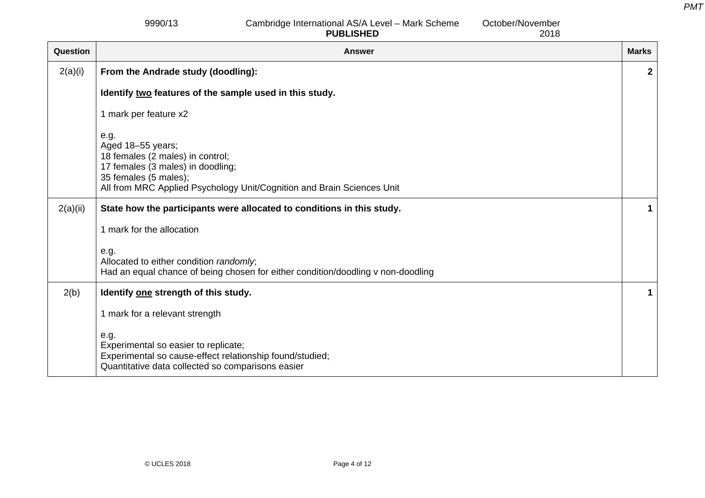2018

9990/13 Cambridge International AS/A Level – Mark Scheme **PUBLISHED**October/November

Question **Answer Marks Indian Answer Marks Indian Answer Marks Indian Answer Marks Indian Answer Marks Indian Answer** 2(a)(i) **From the Andrade study (doodling): Identify two features of the sample used in this study.**  1 mark per feature x2 e.g. Aged 18–55 years; 18 females (2 males) in control; 17 females (3 males) in doodling; 35 females (5 males); All from MRC Applied Psychology Unit/Cognition and Brain Sciences Unit **2** 2(a)(ii) **State how the participants were allocated to conditions in this study.**  1 mark for the allocation e.g. Allocated to either condition *randomly*; Had an equal chance of being chosen for either condition/doodling v non-doodling **1** 2(b) **Identify one strength of this study.**  1 mark for a relevant strength e.g. Experimental so easier to replicate; Experimental so cause-effect relationship found/studied; Quantitative data collected so comparisons easier **1**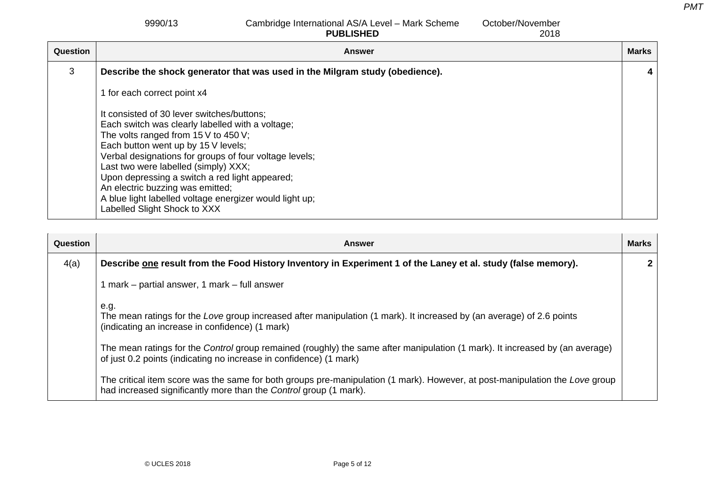9990/13 Cambridge International AS/A Level – Mark Scheme **PUBLISHED**

October/November

2018Question **Answer Marks Indian Answer Marks Indian Answer Marks Indian Answer Marks Indian Answer Marks Indian Answer** 3 **Describe the shock generator that was used in the Milgram study (obedience).**  1 for each correct point x4 It consisted of 30 lever switches/buttons; Each switch was clearly labelled with a voltage; The volts ranged from 15 V to 450 V; Each button went up by 15 V levels; Verbal designations for groups of four voltage levels; Last two were labelled (simply) XXX; Upon depressing a switch a red light appeared; An electric buzzing was emitted; A blue light labelled voltage energizer would light up; Labelled Slight Shock to XXX **4** 

| Question | Answer                                                                                                                                                                                             | <b>Marks</b> |
|----------|----------------------------------------------------------------------------------------------------------------------------------------------------------------------------------------------------|--------------|
| 4(a)     | Describe one result from the Food History Inventory in Experiment 1 of the Laney et al. study (false memory).                                                                                      |              |
|          | 1 mark – partial answer, 1 mark – full answer                                                                                                                                                      |              |
|          | e.g.<br>The mean ratings for the Love group increased after manipulation (1 mark). It increased by (an average) of 2.6 points<br>(indicating an increase in confidence) (1 mark)                   |              |
|          | The mean ratings for the Control group remained (roughly) the same after manipulation (1 mark). It increased by (an average)<br>of just 0.2 points (indicating no increase in confidence) (1 mark) |              |
|          | The critical item score was the same for both groups pre-manipulation (1 mark). However, at post-manipulation the Love group<br>had increased significantly more than the Control group (1 mark).  |              |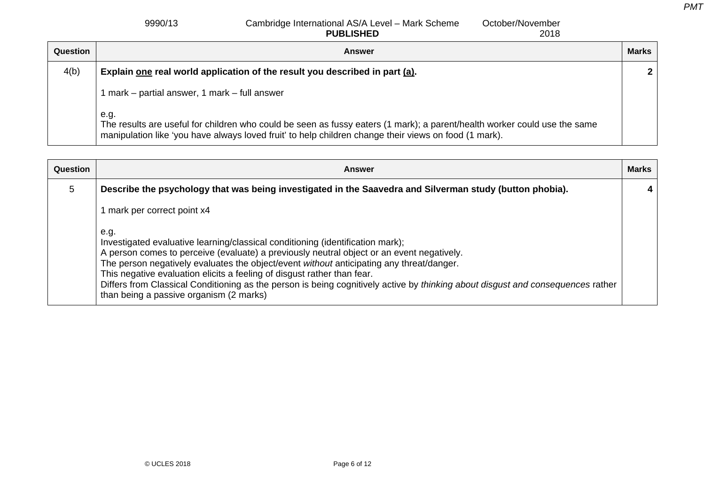#### 9990/13 Cambridge International AS/A Level – Mark Scheme **PUBLISHED** October/November

|          | <b>PUBLISHED</b><br>2018                                                                                                                                                                                                                   |              |
|----------|--------------------------------------------------------------------------------------------------------------------------------------------------------------------------------------------------------------------------------------------|--------------|
| Question | Answer                                                                                                                                                                                                                                     | <b>Marks</b> |
| 4(b)     | Explain one real world application of the result you described in part (a).                                                                                                                                                                | $\mathbf{2}$ |
|          | mark – partial answer, 1 mark – full answer                                                                                                                                                                                                |              |
|          | e.g.<br>The results are useful for children who could be seen as fussy eaters (1 mark); a parent/health worker could use the same<br>manipulation like 'you have always loved fruit' to help children change their views on food (1 mark). |              |

| Question | Answer                                                                                                                                                                                                                                                                                                                                                                                                                                                                                                                                   | <b>Marks</b> |
|----------|------------------------------------------------------------------------------------------------------------------------------------------------------------------------------------------------------------------------------------------------------------------------------------------------------------------------------------------------------------------------------------------------------------------------------------------------------------------------------------------------------------------------------------------|--------------|
| 5        | Describe the psychology that was being investigated in the Saavedra and Silverman study (button phobia).                                                                                                                                                                                                                                                                                                                                                                                                                                 |              |
|          | mark per correct point x4                                                                                                                                                                                                                                                                                                                                                                                                                                                                                                                |              |
|          | e.g.<br>Investigated evaluative learning/classical conditioning (identification mark);<br>A person comes to perceive (evaluate) a previously neutral object or an event negatively.<br>The person negatively evaluates the object/event without anticipating any threat/danger.<br>This negative evaluation elicits a feeling of disgust rather than fear.<br>Differs from Classical Conditioning as the person is being cognitively active by thinking about disgust and consequences rather<br>than being a passive organism (2 marks) |              |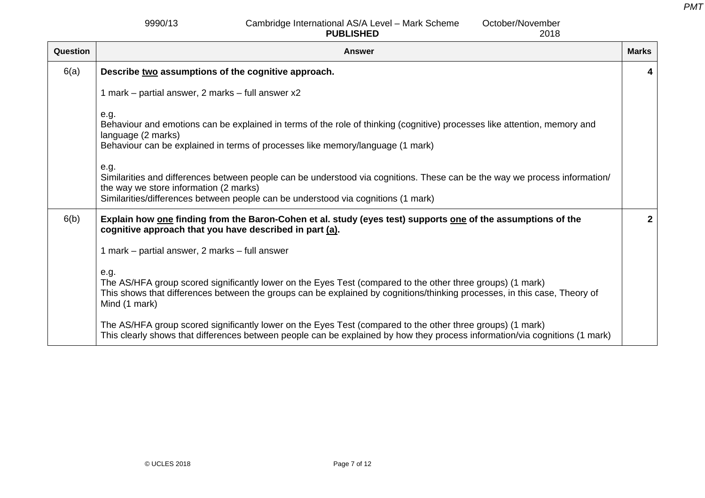9990/13 Cambridge International AS/A Level – Mark Scheme **PUBLISHED**

October/November 2018

| Question | <b>Answer</b>                                                                                                                                                                                                                                                     | <b>Marks</b> |
|----------|-------------------------------------------------------------------------------------------------------------------------------------------------------------------------------------------------------------------------------------------------------------------|--------------|
| 6(a)     | Describe two assumptions of the cognitive approach.                                                                                                                                                                                                               | 4            |
|          | 1 mark – partial answer, 2 marks – full answer x2                                                                                                                                                                                                                 |              |
|          | e.g.<br>Behaviour and emotions can be explained in terms of the role of thinking (cognitive) processes like attention, memory and<br>language (2 marks)<br>Behaviour can be explained in terms of processes like memory/language (1 mark)                         |              |
|          | e.g.<br>Similarities and differences between people can be understood via cognitions. These can be the way we process information/<br>the way we store information (2 marks)<br>Similarities/differences between people can be understood via cognitions (1 mark) |              |
| 6(b)     | Explain how one finding from the Baron-Cohen et al. study (eyes test) supports one of the assumptions of the<br>cognitive approach that you have described in part (a).                                                                                           | $\mathbf{2}$ |
|          | 1 mark – partial answer, 2 marks – full answer                                                                                                                                                                                                                    |              |
|          | e.g.<br>The AS/HFA group scored significantly lower on the Eyes Test (compared to the other three groups) (1 mark)<br>This shows that differences between the groups can be explained by cognitions/thinking processes, in this case, Theory of<br>Mind (1 mark)  |              |
|          | The AS/HFA group scored significantly lower on the Eyes Test (compared to the other three groups) (1 mark)<br>This clearly shows that differences between people can be explained by how they process information/via cognitions (1 mark)                         |              |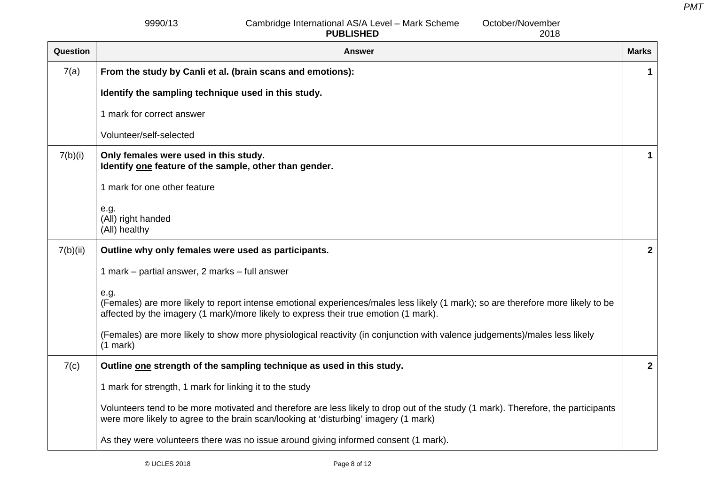9990/13 Cambridge International AS/A Level – Mark Scheme **PUBLISHED**

October/November

2018

Question **Answer Marks Indian Answer Marks Indian Answer Marks Indian Answer Marks Indian Answer Marks Indian Answer** 7(a) **From the study by Canli et al. (brain scans and emotions): Identify the sampling technique used in this study.**  1 mark for correct answer Volunteer/self-selected **1** 7(b)(i) **Only females were used in this study. Identify one feature of the sample, other than gender.**  1 mark for one other feature e.g. (All) right handed (All) healthy **1** 7(b)(ii) **Outline why only females were used as participants.**  1 mark – partial answer, 2 marks – full answer e.g. (Females) are more likely to report intense emotional experiences/males less likely (1 mark); so are therefore more likely to be affected by the imagery (1 mark)/more likely to express their true emotion (1 mark). (Females) are more likely to show more physiological reactivity (in conjunction with valence judgements)/males less likely (1 mark) **2** 7(c) **Outline one strength of the sampling technique as used in this study.**  1 mark for strength, 1 mark for linking it to the study Volunteers tend to be more motivated and therefore are less likely to drop out of the study (1 mark). Therefore, the participants were more likely to agree to the brain scan/looking at 'disturbing' imagery (1 mark) As they were volunteers there was no issue around giving informed consent (1 mark). **2**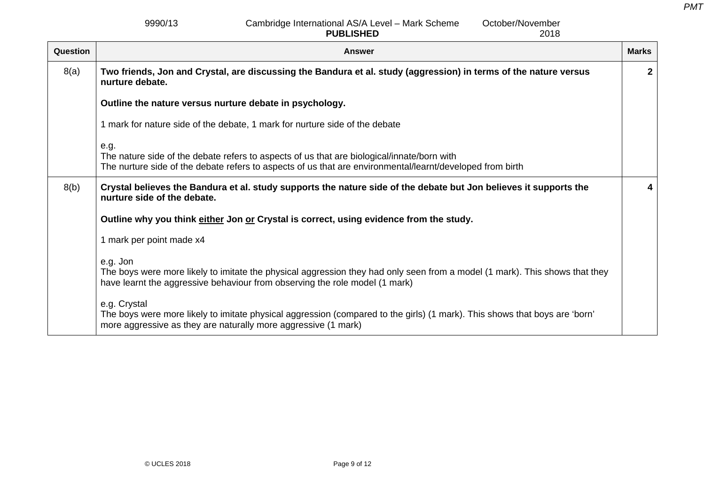9990/13 Cambridge International AS/A Level – Mark Scheme **PUBLISHED**October/November

2018Question **Answer Marks Indian Answer Marks Indian Answer Marks Indian Answer Marks Indian Answer Marks Indian Answer** 8(a) **Two friends, Jon and Crystal, are discussing the Bandura et al. study (aggression) in terms of the nature versus nurture debate. Outline the nature versus nurture debate in psychology.**  1 mark for nature side of the debate, 1 mark for nurture side of the debate e.g. The nature side of the debate refers to aspects of us that are biological/innate/born with The nurture side of the debate refers to aspects of us that are environmental/learnt/developed from birth **2** 8(b) **Crystal believes the Bandura et al. study supports the nature side of the debate but Jon believes it supports the nurture side of the debate. Outline why you think either Jon or Crystal is correct, using evidence from the study.**  1 mark per point made x4 e.g. Jon The boys were more likely to imitate the physical aggression they had only seen from a model (1 mark). This shows that they have learnt the aggressive behaviour from observing the role model (1 mark) e.g. Crystal The boys were more likely to imitate physical aggression (compared to the girls) (1 mark). This shows that boys are 'born' more aggressive as they are naturally more aggressive (1 mark) **4**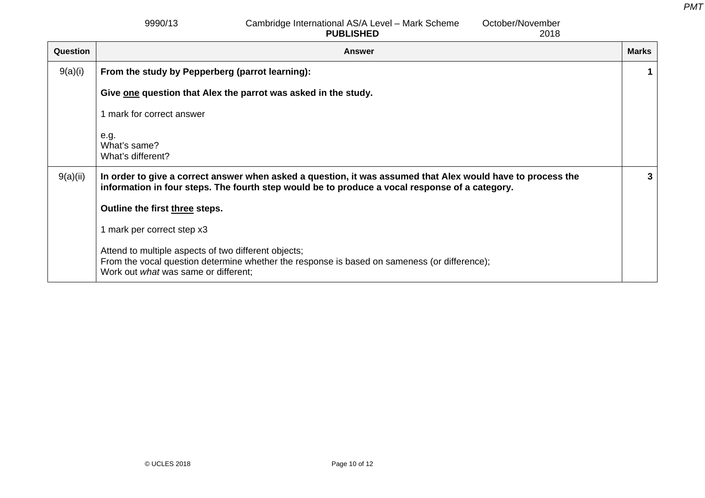9990/13 Cambridge International AS/A Level – Mark Scheme **PUBLISHED**October/November

2018Question **Answer Marks Indian Answer Marks Indian Answer Marks Indian Answer Marks Indian Answer Marks Indian Answer** 9(a)(i) **From the study by Pepperberg (parrot learning):**  Give one question that Alex the parrot was asked in the study. 1 mark for correct answer e.g. What's same? What's different? **1** 9(a)(ii) **In order to give a correct answer when asked a question, it was assumed that Alex would have to process the information in four steps. The fourth step would be to produce a vocal response of a category. Outline the first three steps.**  1 mark per correct step x3 Attend to multiple aspects of two different objects; From the vocal question determine whether the response is based on sameness (or difference); Work out *what* was same or different; **3**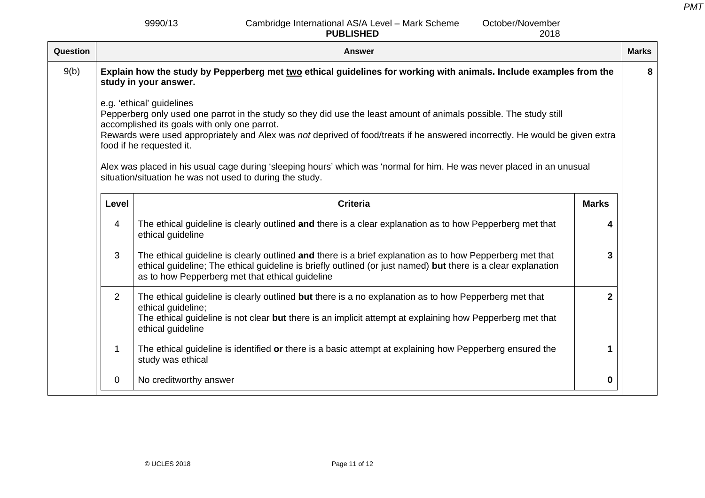9990/13 Cambridge International AS/A Level – Mark Scheme **PUBLISHED**

October/November

|                | <b>PUBLISHED</b><br>2018                                                                                                                                                                                                                                                     |                                                                                                                                                                                                                                                                                                                  |                                                                                                                                                                                                                                                                                                                                                                              |
|----------------|------------------------------------------------------------------------------------------------------------------------------------------------------------------------------------------------------------------------------------------------------------------------------|------------------------------------------------------------------------------------------------------------------------------------------------------------------------------------------------------------------------------------------------------------------------------------------------------------------|------------------------------------------------------------------------------------------------------------------------------------------------------------------------------------------------------------------------------------------------------------------------------------------------------------------------------------------------------------------------------|
|                | <b>Answer</b>                                                                                                                                                                                                                                                                |                                                                                                                                                                                                                                                                                                                  | <b>Marks</b>                                                                                                                                                                                                                                                                                                                                                                 |
|                |                                                                                                                                                                                                                                                                              |                                                                                                                                                                                                                                                                                                                  | 8                                                                                                                                                                                                                                                                                                                                                                            |
|                |                                                                                                                                                                                                                                                                              |                                                                                                                                                                                                                                                                                                                  |                                                                                                                                                                                                                                                                                                                                                                              |
| Level          | <b>Criteria</b>                                                                                                                                                                                                                                                              | <b>Marks</b>                                                                                                                                                                                                                                                                                                     |                                                                                                                                                                                                                                                                                                                                                                              |
| $\overline{4}$ | The ethical guideline is clearly outlined and there is a clear explanation as to how Pepperberg met that<br>ethical guideline                                                                                                                                                | 4                                                                                                                                                                                                                                                                                                                |                                                                                                                                                                                                                                                                                                                                                                              |
| 3              | The ethical guideline is clearly outlined and there is a brief explanation as to how Pepperberg met that<br>ethical guideline; The ethical guideline is briefly outlined (or just named) but there is a clear explanation<br>as to how Pepperberg met that ethical guideline | 3                                                                                                                                                                                                                                                                                                                |                                                                                                                                                                                                                                                                                                                                                                              |
| $\overline{2}$ | The ethical guideline is clearly outlined but there is a no explanation as to how Pepperberg met that<br>ethical guideline;<br>The ethical guideline is not clear but there is an implicit attempt at explaining how Pepperberg met that<br>ethical guideline                | $\overline{2}$                                                                                                                                                                                                                                                                                                   |                                                                                                                                                                                                                                                                                                                                                                              |
| 1              | The ethical guideline is identified or there is a basic attempt at explaining how Pepperberg ensured the<br>study was ethical                                                                                                                                                | 1                                                                                                                                                                                                                                                                                                                |                                                                                                                                                                                                                                                                                                                                                                              |
| 0              | No creditworthy answer                                                                                                                                                                                                                                                       | 0                                                                                                                                                                                                                                                                                                                |                                                                                                                                                                                                                                                                                                                                                                              |
|                |                                                                                                                                                                                                                                                                              | study in your answer.<br>e.g. 'ethical' guidelines<br>Pepperberg only used one parrot in the study so they did use the least amount of animals possible. The study still<br>accomplished its goals with only one parrot.<br>food if he requested it.<br>situation/situation he was not used to during the study. | Explain how the study by Pepperberg met two ethical guidelines for working with animals. Include examples from the<br>Rewards were used appropriately and Alex was not deprived of food/treats if he answered incorrectly. He would be given extra<br>Alex was placed in his usual cage during 'sleeping hours' which was 'normal for him. He was never placed in an unusual |